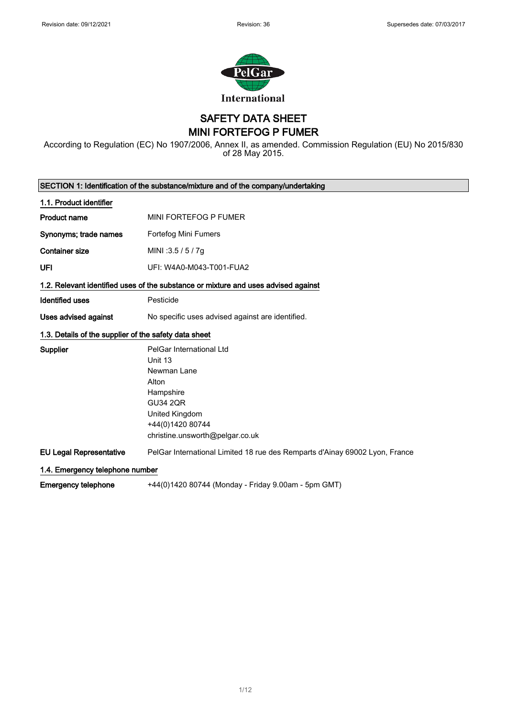

SAFETY DATA SHEET MINI FORTEFOG P FUMER

According to Regulation (EC) No 1907/2006, Annex II, as amended. Commission Regulation (EU) No 2015/830 of 28 May 2015.

| SECTION 1: Identification of the substance/mixture and of the company/undertaking |                                                                                                                                                                      |  |
|-----------------------------------------------------------------------------------|----------------------------------------------------------------------------------------------------------------------------------------------------------------------|--|
| 1.1. Product identifier                                                           |                                                                                                                                                                      |  |
| <b>Product name</b>                                                               | MINI FORTEFOG P FUMER                                                                                                                                                |  |
| Synonyms; trade names                                                             | Fortefog Mini Fumers                                                                                                                                                 |  |
| <b>Container size</b>                                                             | MINI: 3.5 / 5 / 7g                                                                                                                                                   |  |
| <b>UFI</b>                                                                        | UFI: W4A0-M043-T001-FUA2                                                                                                                                             |  |
|                                                                                   | 1.2. Relevant identified uses of the substance or mixture and uses advised against                                                                                   |  |
| <b>Identified uses</b>                                                            | Pesticide                                                                                                                                                            |  |
| <b>Uses advised against</b>                                                       | No specific uses advised against are identified.                                                                                                                     |  |
| 1.3. Details of the supplier of the safety data sheet                             |                                                                                                                                                                      |  |
| Supplier                                                                          | PelGar International Ltd<br>Unit 13<br>Newman Lane<br>Alton<br>Hampshire<br><b>GU34 2QR</b><br>United Kingdom<br>+44(0)1420 80744<br>christine.unsworth@pelgar.co.uk |  |
| <b>EU Legal Representative</b>                                                    | PelGar International Limited 18 rue des Remparts d'Ainay 69002 Lyon, France                                                                                          |  |
|                                                                                   | 1.4. Emergency telephone number                                                                                                                                      |  |
| <b>Emergency telephone</b>                                                        | +44(0)1420 80744 (Monday - Friday 9.00am - 5pm GMT)                                                                                                                  |  |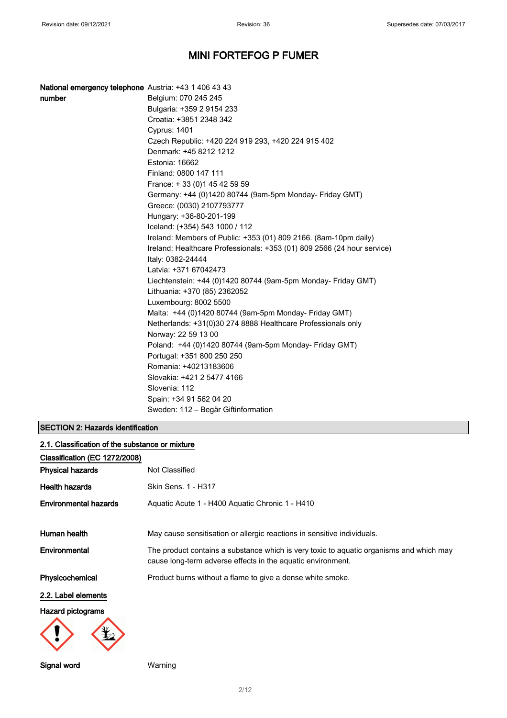| National emergency telephone Austria: +43 1 406 43 43 |                                                                                              |
|-------------------------------------------------------|----------------------------------------------------------------------------------------------|
| number                                                | Belgium: 070 245 245                                                                         |
|                                                       | Bulgaria: +359 2 9154 233                                                                    |
|                                                       | Croatia: +3851 2348 342                                                                      |
|                                                       | <b>Cyprus: 1401</b>                                                                          |
|                                                       | Czech Republic: +420 224 919 293, +420 224 915 402                                           |
|                                                       | Denmark: +45 8212 1212                                                                       |
|                                                       | Estonia: 16662                                                                               |
|                                                       | Finland: 0800 147 111                                                                        |
|                                                       | France: +33 (0) 145 42 59 59                                                                 |
|                                                       | Germany: +44 (0)1420 80744 (9am-5pm Monday- Friday GMT)                                      |
|                                                       | Greece: (0030) 2107793777                                                                    |
|                                                       | Hungary: +36-80-201-199                                                                      |
|                                                       | Iceland: (+354) 543 1000 / 112                                                               |
|                                                       | Ireland: Members of Public: +353 (01) 809 2166. (8am-10pm daily)                             |
|                                                       | Ireland: Healthcare Professionals: +353 (01) 809 2566 (24 hour service)<br>Italy: 0382-24444 |
|                                                       | Latvia: +371 67042473                                                                        |
|                                                       | Liechtenstein: +44 (0)1420 80744 (9am-5pm Monday- Friday GMT)                                |
|                                                       | Lithuania: +370 (85) 2362052                                                                 |
|                                                       | Luxembourg: 8002 5500                                                                        |
|                                                       | Malta: +44 (0)1420 80744 (9am-5pm Monday- Friday GMT)                                        |
|                                                       | Netherlands: +31(0)30 274 8888 Healthcare Professionals only                                 |
|                                                       | Norway: 22 59 13 00                                                                          |
|                                                       | Poland: +44 (0)1420 80744 (9am-5pm Monday- Friday GMT)                                       |
|                                                       | Portugal: +351 800 250 250                                                                   |
|                                                       | Romania: +40213183606                                                                        |
|                                                       | Slovakia: +421 2 5477 4166                                                                   |
|                                                       | Slovenia: 112                                                                                |
|                                                       | Spain: +34 91 562 04 20                                                                      |
|                                                       | Sweden: 112 - Begär Giftinformation                                                          |

### SECTION 2: Hazards identification

| 2.1. Classification of the substance or mixture |                                                                                                                                                        |  |
|-------------------------------------------------|--------------------------------------------------------------------------------------------------------------------------------------------------------|--|
| Classification (EC 1272/2008)                   |                                                                                                                                                        |  |
| <b>Physical hazards</b>                         | Not Classified                                                                                                                                         |  |
| <b>Health hazards</b>                           | Skin Sens. 1 - H317                                                                                                                                    |  |
| <b>Environmental hazards</b>                    | Aquatic Acute 1 - H400 Aquatic Chronic 1 - H410                                                                                                        |  |
| Human health                                    | May cause sensitisation or allergic reactions in sensitive individuals.                                                                                |  |
| Environmental                                   | The product contains a substance which is very toxic to aquatic organisms and which may<br>cause long-term adverse effects in the aquatic environment. |  |
| Physicochemical                                 | Product burns without a flame to give a dense white smoke.                                                                                             |  |
| 2.2. Label elements                             |                                                                                                                                                        |  |
| <b>Hazard pictograms</b>                        |                                                                                                                                                        |  |
|                                                 |                                                                                                                                                        |  |

Signal word Warning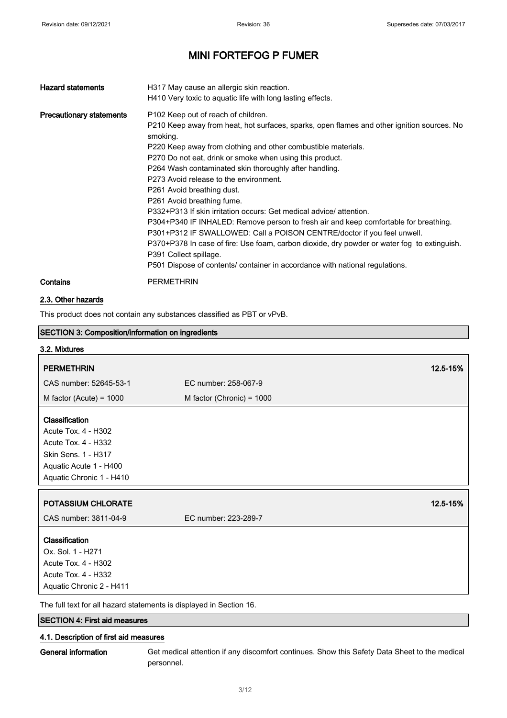| <b>Hazard statements</b>        | H317 May cause an allergic skin reaction.<br>H410 Very toxic to aquatic life with long lasting effects.                                                                                                                                                                                                                                                                                                                                                                                                                                                                                                                                                                                                                                                                                                                                                                                                   |
|---------------------------------|-----------------------------------------------------------------------------------------------------------------------------------------------------------------------------------------------------------------------------------------------------------------------------------------------------------------------------------------------------------------------------------------------------------------------------------------------------------------------------------------------------------------------------------------------------------------------------------------------------------------------------------------------------------------------------------------------------------------------------------------------------------------------------------------------------------------------------------------------------------------------------------------------------------|
| <b>Precautionary statements</b> | P <sub>102</sub> Keep out of reach of children.<br>P210 Keep away from heat, hot surfaces, sparks, open flames and other ignition sources. No<br>smoking.<br>P220 Keep away from clothing and other combustible materials.<br>P270 Do not eat, drink or smoke when using this product.<br>P264 Wash contaminated skin thoroughly after handling.<br>P273 Avoid release to the environment.<br>P261 Avoid breathing dust.<br>P261 Avoid breathing fume.<br>P332+P313 If skin irritation occurs: Get medical advice/ attention.<br>P304+P340 IF INHALED: Remove person to fresh air and keep comfortable for breathing.<br>P301+P312 IF SWALLOWED: Call a POISON CENTRE/doctor if you feel unwell.<br>P370+P378 In case of fire: Use foam, carbon dioxide, dry powder or water fog to extinguish.<br>P391 Collect spillage.<br>P501 Dispose of contents/ container in accordance with national regulations. |
| Contains                        | <b>PERMETHRIN</b>                                                                                                                                                                                                                                                                                                                                                                                                                                                                                                                                                                                                                                                                                                                                                                                                                                                                                         |

#### 2.3. Other hazards

This product does not contain any substances classified as PBT or vPvB.

| <b>SECTION 3: Composition/information on ingredients</b>           |                             |          |
|--------------------------------------------------------------------|-----------------------------|----------|
| 3.2. Mixtures                                                      |                             |          |
| <b>PERMETHRIN</b>                                                  |                             | 12.5-15% |
| CAS number: 52645-53-1                                             | EC number: 258-067-9        |          |
| M factor (Acute) = $1000$                                          | M factor (Chronic) = $1000$ |          |
|                                                                    |                             |          |
| Classification                                                     |                             |          |
| Acute Tox. 4 - H302                                                |                             |          |
| <b>Acute Tox. 4 - H332</b>                                         |                             |          |
| Skin Sens. 1 - H317                                                |                             |          |
| Aquatic Acute 1 - H400                                             |                             |          |
| Aquatic Chronic 1 - H410                                           |                             |          |
|                                                                    |                             |          |
| <b>POTASSIUM CHLORATE</b>                                          |                             | 12.5-15% |
| CAS number: 3811-04-9                                              | EC number: 223-289-7        |          |
| Classification                                                     |                             |          |
| Ox. Sol. 1 - H271                                                  |                             |          |
| Acute Tox. 4 - H302                                                |                             |          |
| Acute Tox. 4 - H332                                                |                             |          |
| Aquatic Chronic 2 - H411                                           |                             |          |
| The full text fer all bezerd etatements is displayed in Coetian 16 |                             |          |

The full text for all hazard statements is displayed in Section 16.

### SECTION 4: First aid measures

### 4.1. Description of first aid measures

General information Get medical attention if any discomfort continues. Show this Safety Data Sheet to the medical personnel.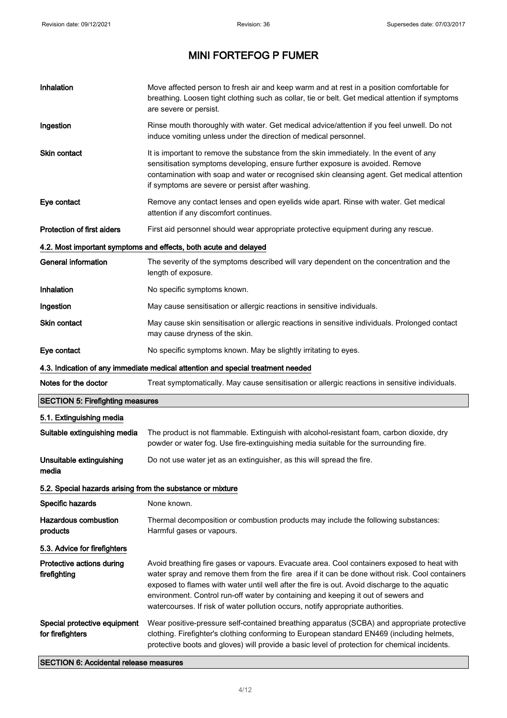$\blacksquare$ 

# MINI FORTEFOG P FUMER

| Inhalation                                                 | Move affected person to fresh air and keep warm and at rest in a position comfortable for<br>breathing. Loosen tight clothing such as collar, tie or belt. Get medical attention if symptoms<br>are severe or persist.                                                                                                                                                                                                                                                 |
|------------------------------------------------------------|------------------------------------------------------------------------------------------------------------------------------------------------------------------------------------------------------------------------------------------------------------------------------------------------------------------------------------------------------------------------------------------------------------------------------------------------------------------------|
| Ingestion                                                  | Rinse mouth thoroughly with water. Get medical advice/attention if you feel unwell. Do not<br>induce vomiting unless under the direction of medical personnel.                                                                                                                                                                                                                                                                                                         |
| <b>Skin contact</b>                                        | It is important to remove the substance from the skin immediately. In the event of any<br>sensitisation symptoms developing, ensure further exposure is avoided. Remove<br>contamination with soap and water or recognised skin cleansing agent. Get medical attention<br>if symptoms are severe or persist after washing.                                                                                                                                             |
| Eye contact                                                | Remove any contact lenses and open eyelids wide apart. Rinse with water. Get medical<br>attention if any discomfort continues.                                                                                                                                                                                                                                                                                                                                         |
| <b>Protection of first aiders</b>                          | First aid personnel should wear appropriate protective equipment during any rescue.                                                                                                                                                                                                                                                                                                                                                                                    |
|                                                            | 4.2. Most important symptoms and effects, both acute and delayed                                                                                                                                                                                                                                                                                                                                                                                                       |
| <b>General information</b>                                 | The severity of the symptoms described will vary dependent on the concentration and the<br>length of exposure.                                                                                                                                                                                                                                                                                                                                                         |
| Inhalation                                                 | No specific symptoms known.                                                                                                                                                                                                                                                                                                                                                                                                                                            |
| Ingestion                                                  | May cause sensitisation or allergic reactions in sensitive individuals.                                                                                                                                                                                                                                                                                                                                                                                                |
| <b>Skin contact</b>                                        | May cause skin sensitisation or allergic reactions in sensitive individuals. Prolonged contact<br>may cause dryness of the skin.                                                                                                                                                                                                                                                                                                                                       |
| Eye contact                                                | No specific symptoms known. May be slightly irritating to eyes.                                                                                                                                                                                                                                                                                                                                                                                                        |
|                                                            | 4.3. Indication of any immediate medical attention and special treatment needed                                                                                                                                                                                                                                                                                                                                                                                        |
| Notes for the doctor                                       | Treat symptomatically. May cause sensitisation or allergic reactions in sensitive individuals.                                                                                                                                                                                                                                                                                                                                                                         |
| <b>SECTION 5: Firefighting measures</b>                    |                                                                                                                                                                                                                                                                                                                                                                                                                                                                        |
| 5.1. Extinguishing media                                   |                                                                                                                                                                                                                                                                                                                                                                                                                                                                        |
| Suitable extinguishing media                               | The product is not flammable. Extinguish with alcohol-resistant foam, carbon dioxide, dry<br>powder or water fog. Use fire-extinguishing media suitable for the surrounding fire.                                                                                                                                                                                                                                                                                      |
| Unsuitable extinguishing<br>media                          | Do not use water jet as an extinguisher, as this will spread the fire.                                                                                                                                                                                                                                                                                                                                                                                                 |
| 5.2. Special hazards arising from the substance or mixture |                                                                                                                                                                                                                                                                                                                                                                                                                                                                        |
| Specific hazards                                           | None known.                                                                                                                                                                                                                                                                                                                                                                                                                                                            |
| <b>Hazardous combustion</b><br>products                    | Thermal decomposition or combustion products may include the following substances:<br>Harmful gases or vapours.                                                                                                                                                                                                                                                                                                                                                        |
| 5.3. Advice for firefighters                               |                                                                                                                                                                                                                                                                                                                                                                                                                                                                        |
| Protective actions during<br>firefighting                  | Avoid breathing fire gases or vapours. Evacuate area. Cool containers exposed to heat with<br>water spray and remove them from the fire area if it can be done without risk. Cool containers<br>exposed to flames with water until well after the fire is out. Avoid discharge to the aquatic<br>environment. Control run-off water by containing and keeping it out of sewers and<br>watercourses. If risk of water pollution occurs, notify appropriate authorities. |
| Special protective equipment<br>for firefighters           | Wear positive-pressure self-contained breathing apparatus (SCBA) and appropriate protective<br>clothing. Firefighter's clothing conforming to European standard EN469 (including helmets,<br>protective boots and gloves) will provide a basic level of protection for chemical incidents.                                                                                                                                                                             |

SECTION 6: Accidental release measures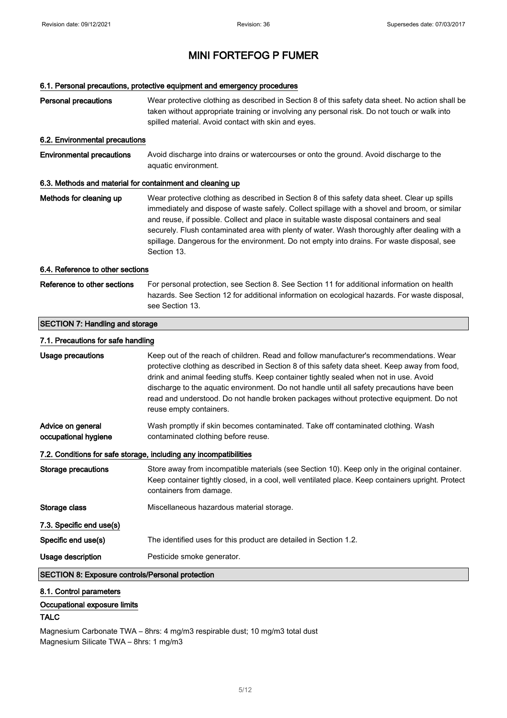#### 6.1. Personal precautions, protective equipment and emergency procedures

| <b>Personal precautions</b>                               | Wear protective clothing as described in Section 8 of this safety data sheet. No action shall be<br>taken without appropriate training or involving any personal risk. Do not touch or walk into<br>spilled material. Avoid contact with skin and eyes.                                                                                                                                                                                                                                                 |
|-----------------------------------------------------------|---------------------------------------------------------------------------------------------------------------------------------------------------------------------------------------------------------------------------------------------------------------------------------------------------------------------------------------------------------------------------------------------------------------------------------------------------------------------------------------------------------|
| 6.2. Environmental precautions                            |                                                                                                                                                                                                                                                                                                                                                                                                                                                                                                         |
| <b>Environmental precautions</b>                          | Avoid discharge into drains or watercourses or onto the ground. Avoid discharge to the<br>aquatic environment.                                                                                                                                                                                                                                                                                                                                                                                          |
| 6.3. Methods and material for containment and cleaning up |                                                                                                                                                                                                                                                                                                                                                                                                                                                                                                         |
| Methods for cleaning up                                   | Wear protective clothing as described in Section 8 of this safety data sheet. Clear up spills<br>immediately and dispose of waste safely. Collect spillage with a shovel and broom, or similar<br>and reuse, if possible. Collect and place in suitable waste disposal containers and seal<br>securely. Flush contaminated area with plenty of water. Wash thoroughly after dealing with a<br>spillage. Dangerous for the environment. Do not empty into drains. For waste disposal, see<br>Section 13. |
| 6.4. Reference to other sections                          |                                                                                                                                                                                                                                                                                                                                                                                                                                                                                                         |
| Reference to other sections                               | For personal protection, see Section 8. See Section 11 for additional information on health<br>hazards. See Section 12 for additional information on ecological hazards. For waste disposal,<br>see Section 13.                                                                                                                                                                                                                                                                                         |
| <b>SECTION 7: Handling and storage</b>                    |                                                                                                                                                                                                                                                                                                                                                                                                                                                                                                         |
| 7.1. Precautions for safe handling                        |                                                                                                                                                                                                                                                                                                                                                                                                                                                                                                         |
| Usage precautions                                         | Keep out of the reach of children. Read and follow manufacturer's recommendations. Wear<br>protective clothing as described in Section 8 of this safety data sheet. Keep away from food,<br>drink and animal feeding stuffs. Keep container tightly sealed when not in use. Avoid<br>discharge to the aquatic environment. Do not handle until all safety precautions have been<br>read and understood. Do not handle broken packages without protective equipment. Do not<br>reuse empty containers.   |
| Advice on general<br>occupational hygiene                 | Wash promptly if skin becomes contaminated. Take off contaminated clothing. Wash<br>contaminated clothing before reuse.                                                                                                                                                                                                                                                                                                                                                                                 |
|                                                           | 7.2. Conditions for safe storage, including any incompatibilities                                                                                                                                                                                                                                                                                                                                                                                                                                       |
| <b>Storage precautions</b>                                | Store away from incompatible materials (see Section 10). Keep only in the original container.<br>Keep container tightly closed, in a cool, well ventilated place. Keep containers upright. Protect<br>containers from damage.                                                                                                                                                                                                                                                                           |
| Storage class                                             | Miscellaneous hazardous material storage.                                                                                                                                                                                                                                                                                                                                                                                                                                                               |
| 7.3. Specific end use(s)                                  |                                                                                                                                                                                                                                                                                                                                                                                                                                                                                                         |
| Specific end use(s)                                       | The identified uses for this product are detailed in Section 1.2.                                                                                                                                                                                                                                                                                                                                                                                                                                       |
| Usage description                                         | Pesticide smoke generator.                                                                                                                                                                                                                                                                                                                                                                                                                                                                              |
| <b>SECTION 8: Exposure controls/Personal protection</b>   |                                                                                                                                                                                                                                                                                                                                                                                                                                                                                                         |

#### 8.1. Control parameters

### Occupational exposure limits

### TALC

Magnesium Carbonate TWA – 8hrs: 4 mg/m3 respirable dust; 10 mg/m3 total dust Magnesium Silicate TWA – 8hrs: 1 mg/m3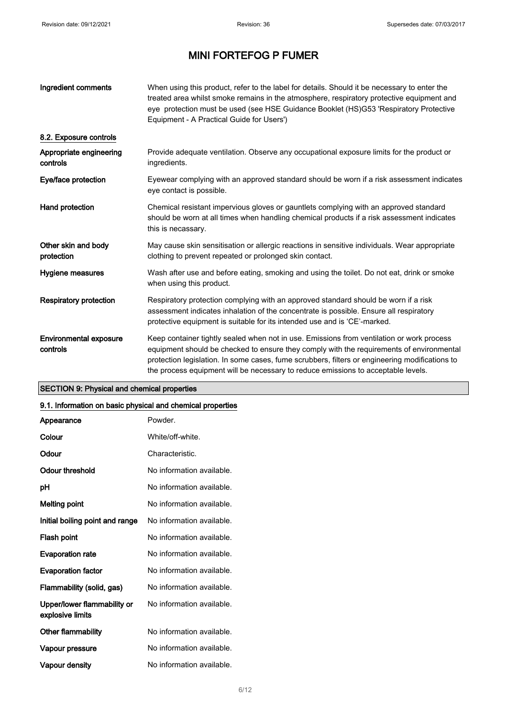| Ingredient comments                       | When using this product, refer to the label for details. Should it be necessary to enter the<br>treated area whilst smoke remains in the atmosphere, respiratory protective equipment and<br>eye protection must be used (see HSE Guidance Booklet (HS)G53 'Respiratory Protective<br>Equipment - A Practical Guide for Users')                                              |
|-------------------------------------------|------------------------------------------------------------------------------------------------------------------------------------------------------------------------------------------------------------------------------------------------------------------------------------------------------------------------------------------------------------------------------|
| 8.2. Exposure controls                    |                                                                                                                                                                                                                                                                                                                                                                              |
| Appropriate engineering<br>controls       | Provide adequate ventilation. Observe any occupational exposure limits for the product or<br>ingredients.                                                                                                                                                                                                                                                                    |
| Eye/face protection                       | Eyewear complying with an approved standard should be worn if a risk assessment indicates<br>eye contact is possible.                                                                                                                                                                                                                                                        |
| Hand protection                           | Chemical resistant impervious gloves or gauntlets complying with an approved standard<br>should be worn at all times when handling chemical products if a risk assessment indicates<br>this is necassary.                                                                                                                                                                    |
| Other skin and body<br>protection         | May cause skin sensitisation or allergic reactions in sensitive individuals. Wear appropriate<br>clothing to prevent repeated or prolonged skin contact.                                                                                                                                                                                                                     |
| Hygiene measures                          | Wash after use and before eating, smoking and using the toilet. Do not eat, drink or smoke<br>when using this product.                                                                                                                                                                                                                                                       |
| <b>Respiratory protection</b>             | Respiratory protection complying with an approved standard should be worn if a risk<br>assessment indicates inhalation of the concentrate is possible. Ensure all respiratory<br>protective equipment is suitable for its intended use and is 'CE'-marked.                                                                                                                   |
| <b>Environmental exposure</b><br>controls | Keep container tightly sealed when not in use. Emissions from ventilation or work process<br>equipment should be checked to ensure they comply with the requirements of environmental<br>protection legislation. In some cases, fume scrubbers, filters or engineering modifications to<br>the process equipment will be necessary to reduce emissions to acceptable levels. |

### SECTION 9: Physical and chemical properties

#### 9.1. Information on basic physical and chemical properties

| Appearance                                      | Powder.                   |
|-------------------------------------------------|---------------------------|
| Colour                                          | White/off-white.          |
| Odour                                           | Characteristic.           |
| Odour threshold                                 | No information available. |
| рH                                              | No information available. |
| <b>Melting point</b>                            | No information available. |
| Initial boiling point and range                 | No information available. |
| Flash point                                     | No information available. |
| <b>Evaporation rate</b>                         | No information available. |
| <b>Evaporation factor</b>                       | No information available. |
| Flammability (solid, gas)                       | No information available. |
| Upper/lower flammability or<br>explosive limits | No information available. |
| Other flammability                              | No information available. |
| Vapour pressure                                 | No information available. |
| Vapour density                                  | No information available. |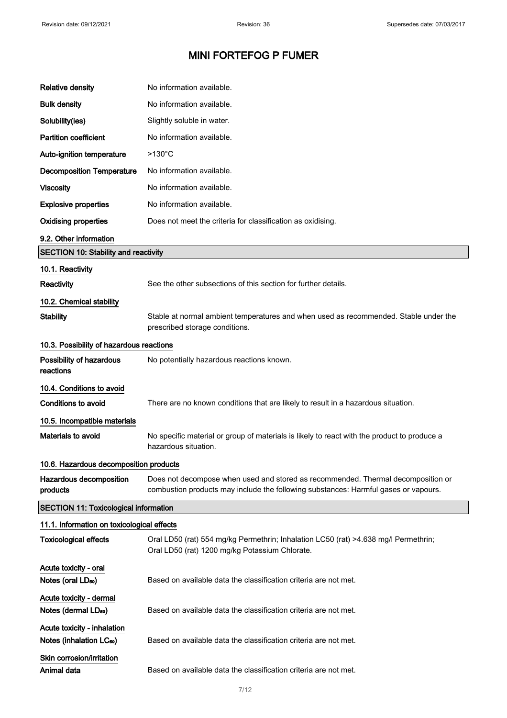| <b>Relative density</b>                                             | No information available.                                                                                                                                               |  |
|---------------------------------------------------------------------|-------------------------------------------------------------------------------------------------------------------------------------------------------------------------|--|
| <b>Bulk density</b>                                                 | No information available.                                                                                                                                               |  |
| Solubility(ies)                                                     | Slightly soluble in water.                                                                                                                                              |  |
| <b>Partition coefficient</b>                                        | No information available.                                                                                                                                               |  |
| Auto-ignition temperature                                           | $>130^{\circ}$ C                                                                                                                                                        |  |
| <b>Decomposition Temperature</b>                                    | No information available.                                                                                                                                               |  |
| <b>Viscosity</b>                                                    | No information available.                                                                                                                                               |  |
| <b>Explosive properties</b>                                         | No information available.                                                                                                                                               |  |
| <b>Oxidising properties</b>                                         | Does not meet the criteria for classification as oxidising.                                                                                                             |  |
| 9.2. Other information                                              |                                                                                                                                                                         |  |
| <b>SECTION 10: Stability and reactivity</b>                         |                                                                                                                                                                         |  |
| 10.1. Reactivity                                                    |                                                                                                                                                                         |  |
| Reactivity                                                          | See the other subsections of this section for further details.                                                                                                          |  |
| 10.2. Chemical stability                                            |                                                                                                                                                                         |  |
| <b>Stability</b>                                                    | Stable at normal ambient temperatures and when used as recommended. Stable under the<br>prescribed storage conditions.                                                  |  |
| 10.3. Possibility of hazardous reactions                            |                                                                                                                                                                         |  |
| Possibility of hazardous<br>reactions                               | No potentially hazardous reactions known.                                                                                                                               |  |
| 10.4. Conditions to avoid                                           |                                                                                                                                                                         |  |
| Conditions to avoid                                                 | There are no known conditions that are likely to result in a hazardous situation.                                                                                       |  |
| 10.5. Incompatible materials                                        |                                                                                                                                                                         |  |
| Materials to avoid                                                  | No specific material or group of materials is likely to react with the product to produce a<br>hazardous situation.                                                     |  |
| 10.6. Hazardous decomposition products                              |                                                                                                                                                                         |  |
| Hazardous decomposition<br>products                                 | Does not decompose when used and stored as recommended. Thermal decomposition or<br>combustion products may include the following substances: Harmful gases or vapours. |  |
| <b>SECTION 11: Toxicological information</b>                        |                                                                                                                                                                         |  |
| 11.1. Information on toxicological effects                          |                                                                                                                                                                         |  |
| <b>Toxicological effects</b>                                        | Oral LD50 (rat) 554 mg/kg Permethrin; Inhalation LC50 (rat) >4.638 mg/l Permethrin;<br>Oral LD50 (rat) 1200 mg/kg Potassium Chlorate.                                   |  |
| Acute toxicity - oral<br>Notes (oral LD <sub>50</sub> )             | Based on available data the classification criteria are not met.                                                                                                        |  |
| Acute toxicity - dermal                                             |                                                                                                                                                                         |  |
| Notes (dermal LD <sub>50</sub> )                                    | Based on available data the classification criteria are not met.                                                                                                        |  |
| Acute toxicity - inhalation<br>Notes (inhalation LC <sub>50</sub> ) | Based on available data the classification criteria are not met.                                                                                                        |  |
| Skin corrosion/irritation<br>Animal data                            | Based on available data the classification criteria are not met.                                                                                                        |  |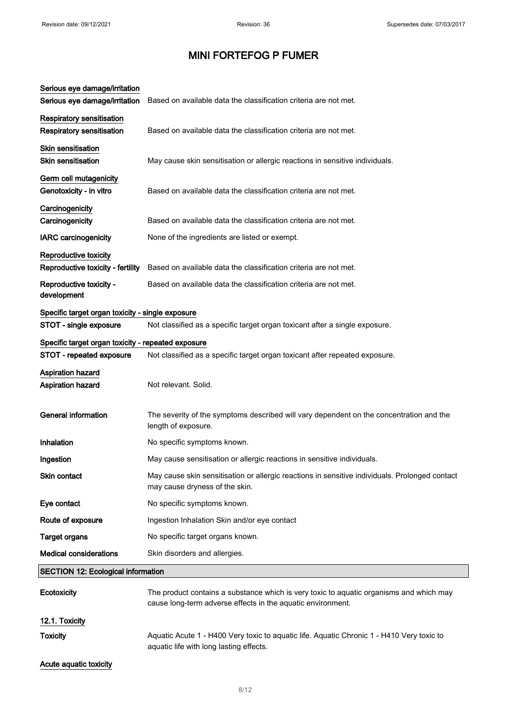| Serious eye damage/irritation<br>Serious eye damage/irritation       | Based on available data the classification criteria are not met.                                                                                       |
|----------------------------------------------------------------------|--------------------------------------------------------------------------------------------------------------------------------------------------------|
| <b>Respiratory sensitisation</b><br><b>Respiratory sensitisation</b> | Based on available data the classification criteria are not met.                                                                                       |
| <b>Skin sensitisation</b><br><b>Skin sensitisation</b>               | May cause skin sensitisation or allergic reactions in sensitive individuals.                                                                           |
| Germ cell mutagenicity<br>Genotoxicity - in vitro                    | Based on available data the classification criteria are not met.                                                                                       |
| Carcinogenicity<br>Carcinogenicity                                   | Based on available data the classification criteria are not met.                                                                                       |
| <b>IARC</b> carcinogenicity                                          | None of the ingredients are listed or exempt.                                                                                                          |
| Reproductive toxicity<br>Reproductive toxicity - fertility           | Based on available data the classification criteria are not met.                                                                                       |
| Reproductive toxicity -<br>development                               | Based on available data the classification criteria are not met.                                                                                       |
| Specific target organ toxicity - single exposure                     |                                                                                                                                                        |
| STOT - single exposure                                               | Not classified as a specific target organ toxicant after a single exposure.                                                                            |
| Specific target organ toxicity - repeated exposure                   |                                                                                                                                                        |
| STOT - repeated exposure                                             | Not classified as a specific target organ toxicant after repeated exposure.                                                                            |
| <b>Aspiration hazard</b><br>Aspiration hazard                        | Not relevant. Solid.                                                                                                                                   |
| <b>General information</b>                                           | The severity of the symptoms described will vary dependent on the concentration and the<br>length of exposure.                                         |
| Inhalation                                                           | No specific symptoms known.                                                                                                                            |
| Ingestion                                                            | May cause sensitisation or allergic reactions in sensitive individuals.                                                                                |
| Skin contact                                                         | May cause skin sensitisation or allergic reactions in sensitive individuals. Prolonged contact<br>may cause dryness of the skin.                       |
| Eye contact                                                          | No specific symptoms known.                                                                                                                            |
| Route of exposure                                                    | Ingestion Inhalation Skin and/or eye contact                                                                                                           |
| <b>Target organs</b>                                                 | No specific target organs known.                                                                                                                       |
| <b>Medical considerations</b>                                        | Skin disorders and allergies.                                                                                                                          |
| <b>SECTION 12: Ecological information</b>                            |                                                                                                                                                        |
| Ecotoxicity                                                          | The product contains a substance which is very toxic to aquatic organisms and which may<br>cause long-term adverse effects in the aquatic environment. |
| 12.1. Toxicity                                                       |                                                                                                                                                        |
| <b>Toxicity</b>                                                      | Aquatic Acute 1 - H400 Very toxic to aquatic life. Aquatic Chronic 1 - H410 Very toxic to<br>aquatic life with long lasting effects.                   |
| Acute aquatic toxicity                                               |                                                                                                                                                        |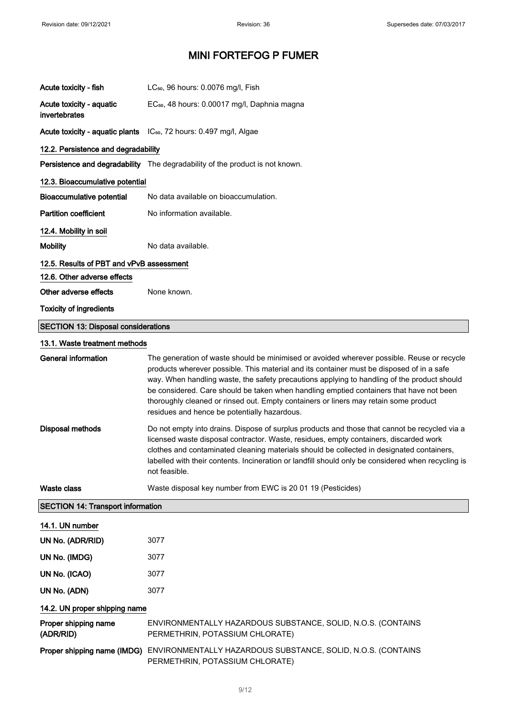| Acute toxicity - fish                      | LC <sub>50</sub> , 96 hours: 0.0076 mg/l, Fish                                                                                                                                                                                                                                                                                                                                                                                                                                                                            |
|--------------------------------------------|---------------------------------------------------------------------------------------------------------------------------------------------------------------------------------------------------------------------------------------------------------------------------------------------------------------------------------------------------------------------------------------------------------------------------------------------------------------------------------------------------------------------------|
| Acute toxicity - aquatic<br>invertebrates  | EC <sub>50</sub> , 48 hours: 0.00017 mg/l, Daphnia magna                                                                                                                                                                                                                                                                                                                                                                                                                                                                  |
|                                            | Acute toxicity - aquatic plants IC <sub>50</sub> , 72 hours: 0.497 mg/l, Algae                                                                                                                                                                                                                                                                                                                                                                                                                                            |
| 12.2. Persistence and degradability        |                                                                                                                                                                                                                                                                                                                                                                                                                                                                                                                           |
|                                            | Persistence and degradability The degradability of the product is not known.                                                                                                                                                                                                                                                                                                                                                                                                                                              |
| 12.3. Bioaccumulative potential            |                                                                                                                                                                                                                                                                                                                                                                                                                                                                                                                           |
| <b>Bioaccumulative potential</b>           | No data available on bioaccumulation.                                                                                                                                                                                                                                                                                                                                                                                                                                                                                     |
| <b>Partition coefficient</b>               | No information available.                                                                                                                                                                                                                                                                                                                                                                                                                                                                                                 |
| 12.4. Mobility in soil                     |                                                                                                                                                                                                                                                                                                                                                                                                                                                                                                                           |
| <b>Mobility</b>                            | No data available.                                                                                                                                                                                                                                                                                                                                                                                                                                                                                                        |
| 12.5. Results of PBT and vPvB assessment   |                                                                                                                                                                                                                                                                                                                                                                                                                                                                                                                           |
| 12.6. Other adverse effects                |                                                                                                                                                                                                                                                                                                                                                                                                                                                                                                                           |
| Other adverse effects                      | None known.                                                                                                                                                                                                                                                                                                                                                                                                                                                                                                               |
| <b>Toxicity of ingredients</b>             |                                                                                                                                                                                                                                                                                                                                                                                                                                                                                                                           |
| <b>SECTION 13: Disposal considerations</b> |                                                                                                                                                                                                                                                                                                                                                                                                                                                                                                                           |
| 13.1. Waste treatment methods              |                                                                                                                                                                                                                                                                                                                                                                                                                                                                                                                           |
| <b>General information</b>                 | The generation of waste should be minimised or avoided wherever possible. Reuse or recycle<br>products wherever possible. This material and its container must be disposed of in a safe<br>way. When handling waste, the safety precautions applying to handling of the product should<br>be considered. Care should be taken when handling emptied containers that have not been<br>thoroughly cleaned or rinsed out. Empty containers or liners may retain some product<br>residues and hence be potentially hazardous. |
| <b>Disposal methods</b>                    | Do not empty into drains. Dispose of surplus products and those that cannot be recycled via a<br>licensed waste disposal contractor. Waste, residues, empty containers, discarded work<br>clothes and contaminated cleaning materials should be collected in designated containers,<br>labelled with their contents. Incineration or landfill should only be considered when recycling is<br>not feasible.                                                                                                                |
| <b>Waste class</b>                         | Waste disposal key number from EWC is 20 01 19 (Pesticides)                                                                                                                                                                                                                                                                                                                                                                                                                                                               |
| <b>SECTION 14: Transport information</b>   |                                                                                                                                                                                                                                                                                                                                                                                                                                                                                                                           |
| 14.1. UN number                            |                                                                                                                                                                                                                                                                                                                                                                                                                                                                                                                           |
| UN No. (ADR/RID)                           | 3077                                                                                                                                                                                                                                                                                                                                                                                                                                                                                                                      |
| UN No. (IMDG)                              | 3077                                                                                                                                                                                                                                                                                                                                                                                                                                                                                                                      |
| UN No. (ICAO)                              | 3077                                                                                                                                                                                                                                                                                                                                                                                                                                                                                                                      |
| UN No. (ADN)                               | 3077                                                                                                                                                                                                                                                                                                                                                                                                                                                                                                                      |
| 14.2. UN proper shipping name              |                                                                                                                                                                                                                                                                                                                                                                                                                                                                                                                           |
| Proper shipping name<br>(ADR/RID)          | ENVIRONMENTALLY HAZARDOUS SUBSTANCE, SOLID, N.O.S. (CONTAINS<br>PERMETHRIN, POTASSIUM CHLORATE)                                                                                                                                                                                                                                                                                                                                                                                                                           |
|                                            | Proper shipping name (IMDG) ENVIRONMENTALLY HAZARDOUS SUBSTANCE, SOLID, N.O.S. (CONTAINS<br>PERMETHRIN, POTASSIUM CHLORATE)                                                                                                                                                                                                                                                                                                                                                                                               |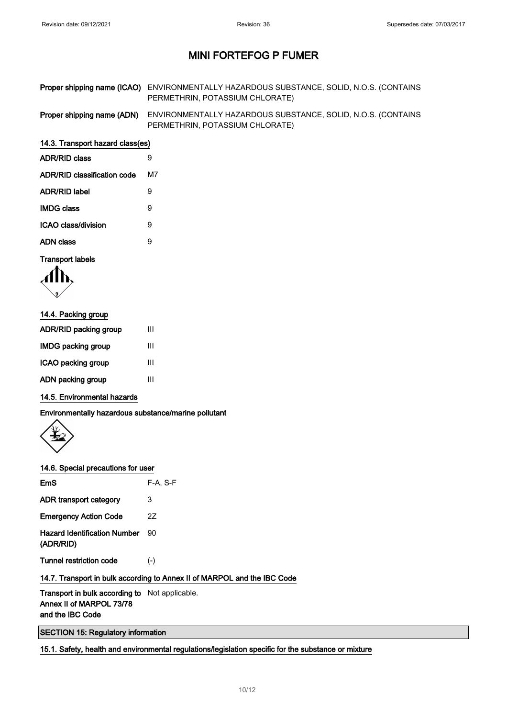| Proper shipping name (ICAO) ENVIRONMENTALLY HAZARDOUS SUBSTANCE, SOLID, N.O.S. (CONTAINS |
|------------------------------------------------------------------------------------------|
| PERMETHRIN, POTASSIUM CHLORATE)                                                          |

Proper shipping name (ADN) ENVIRONMENTALLY HAZARDOUS SUBSTANCE, SOLID, N.O.S. (CONTAINS PERMETHRIN, POTASSIUM CHLORATE)

#### 14.3. Transport hazard class(es)

| <b>ADR/RID class</b>        | я  |
|-----------------------------|----|
| ADR/RID classification code | м7 |
| ADR/RID label               | Й  |
| <b>IMDG class</b>           | Й  |
| ICAO class/division         | Й  |
| ADN class                   | 9  |
|                             |    |

#### Transport labels

$$
\langle \prod_{\mathbf{y}} \mathbf{y}
$$

| 14.4. Packing group |  |  |
|---------------------|--|--|
| Ш                   |  |  |
| Ш                   |  |  |
| Ш                   |  |  |
| Ш                   |  |  |
|                     |  |  |

### 14.5. Environmental hazards

Environmentally hazardous substance/marine pollutant



### 14.6. Special precautions for user

| 3     |
|-------|
| 27    |
| 90    |
| $(-)$ |
|       |

### 14.7. Transport in bulk according to Annex II of MARPOL and the IBC Code

Transport in bulk according to Not applicable. Annex II of MARPOL 73/78 and the IBC Code

SECTION 15: Regulatory information

15.1. Safety, health and environmental regulations/legislation specific for the substance or mixture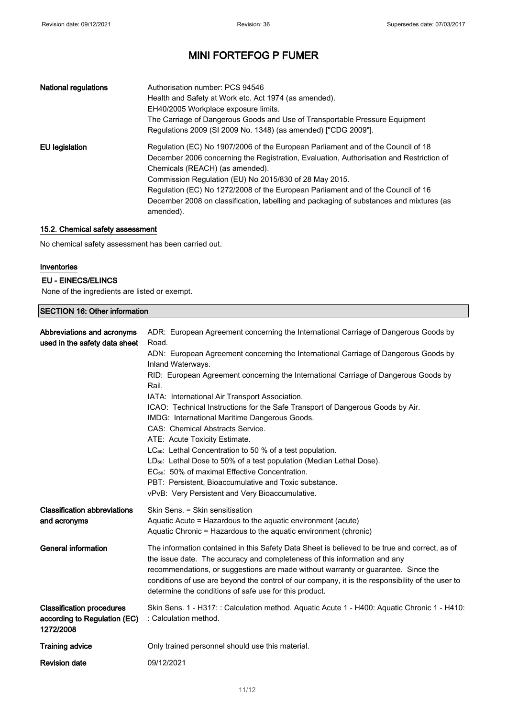| <b>National regulations</b> | Authorisation number: PCS 94546<br>Health and Safety at Work etc. Act 1974 (as amended).<br>EH40/2005 Workplace exposure limits.<br>The Carriage of Dangerous Goods and Use of Transportable Pressure Equipment<br>Regulations 2009 (SI 2009 No. 1348) (as amended) ["CDG 2009"].                                                                                                                                                                                    |
|-----------------------------|----------------------------------------------------------------------------------------------------------------------------------------------------------------------------------------------------------------------------------------------------------------------------------------------------------------------------------------------------------------------------------------------------------------------------------------------------------------------|
| EU legislation              | Regulation (EC) No 1907/2006 of the European Parliament and of the Council of 18<br>December 2006 concerning the Registration, Evaluation, Authorisation and Restriction of<br>Chemicals (REACH) (as amended).<br>Commission Regulation (EU) No 2015/830 of 28 May 2015.<br>Regulation (EC) No 1272/2008 of the European Parliament and of the Council of 16<br>December 2008 on classification, labelling and packaging of substances and mixtures (as<br>amended). |

### 15.2. Chemical safety assessment

No chemical safety assessment has been carried out.

### Inventories

#### EU - EINECS/ELINCS

None of the ingredients are listed or exempt.

### SECTION 16: Other information

| Abbreviations and acronyms<br>used in the safety data sheet                   | ADR: European Agreement concerning the International Carriage of Dangerous Goods by<br>Road.<br>ADN: European Agreement concerning the International Carriage of Dangerous Goods by<br>Inland Waterways.<br>RID: European Agreement concerning the International Carriage of Dangerous Goods by<br>Rail.<br>IATA: International Air Transport Association.<br>ICAO: Technical Instructions for the Safe Transport of Dangerous Goods by Air.<br>IMDG: International Maritime Dangerous Goods.<br>CAS: Chemical Abstracts Service.<br>ATE: Acute Toxicity Estimate.<br>LC <sub>50</sub> : Lethal Concentration to 50 % of a test population.<br>LD <sub>50</sub> : Lethal Dose to 50% of a test population (Median Lethal Dose).<br>EC <sub>50</sub> : 50% of maximal Effective Concentration.<br>PBT: Persistent, Bioaccumulative and Toxic substance.<br>vPvB: Very Persistent and Very Bioaccumulative. |
|-------------------------------------------------------------------------------|-----------------------------------------------------------------------------------------------------------------------------------------------------------------------------------------------------------------------------------------------------------------------------------------------------------------------------------------------------------------------------------------------------------------------------------------------------------------------------------------------------------------------------------------------------------------------------------------------------------------------------------------------------------------------------------------------------------------------------------------------------------------------------------------------------------------------------------------------------------------------------------------------------------|
| <b>Classification abbreviations</b><br>and acronyms                           | Skin Sens. = Skin sensitisation<br>Aquatic Acute = Hazardous to the aquatic environment (acute)<br>Aquatic Chronic = Hazardous to the aquatic environment (chronic)                                                                                                                                                                                                                                                                                                                                                                                                                                                                                                                                                                                                                                                                                                                                       |
| <b>General information</b>                                                    | The information contained in this Safety Data Sheet is believed to be true and correct, as of<br>the issue date. The accuracy and completeness of this information and any<br>recommendations, or suggestions are made without warranty or guarantee. Since the<br>conditions of use are beyond the control of our company, it is the responsibility of the user to<br>determine the conditions of safe use for this product.                                                                                                                                                                                                                                                                                                                                                                                                                                                                             |
| <b>Classification procedures</b><br>according to Regulation (EC)<br>1272/2008 | Skin Sens. 1 - H317: : Calculation method. Aquatic Acute 1 - H400: Aquatic Chronic 1 - H410:<br>: Calculation method.                                                                                                                                                                                                                                                                                                                                                                                                                                                                                                                                                                                                                                                                                                                                                                                     |
| <b>Training advice</b>                                                        | Only trained personnel should use this material.                                                                                                                                                                                                                                                                                                                                                                                                                                                                                                                                                                                                                                                                                                                                                                                                                                                          |
| <b>Revision date</b>                                                          | 09/12/2021                                                                                                                                                                                                                                                                                                                                                                                                                                                                                                                                                                                                                                                                                                                                                                                                                                                                                                |